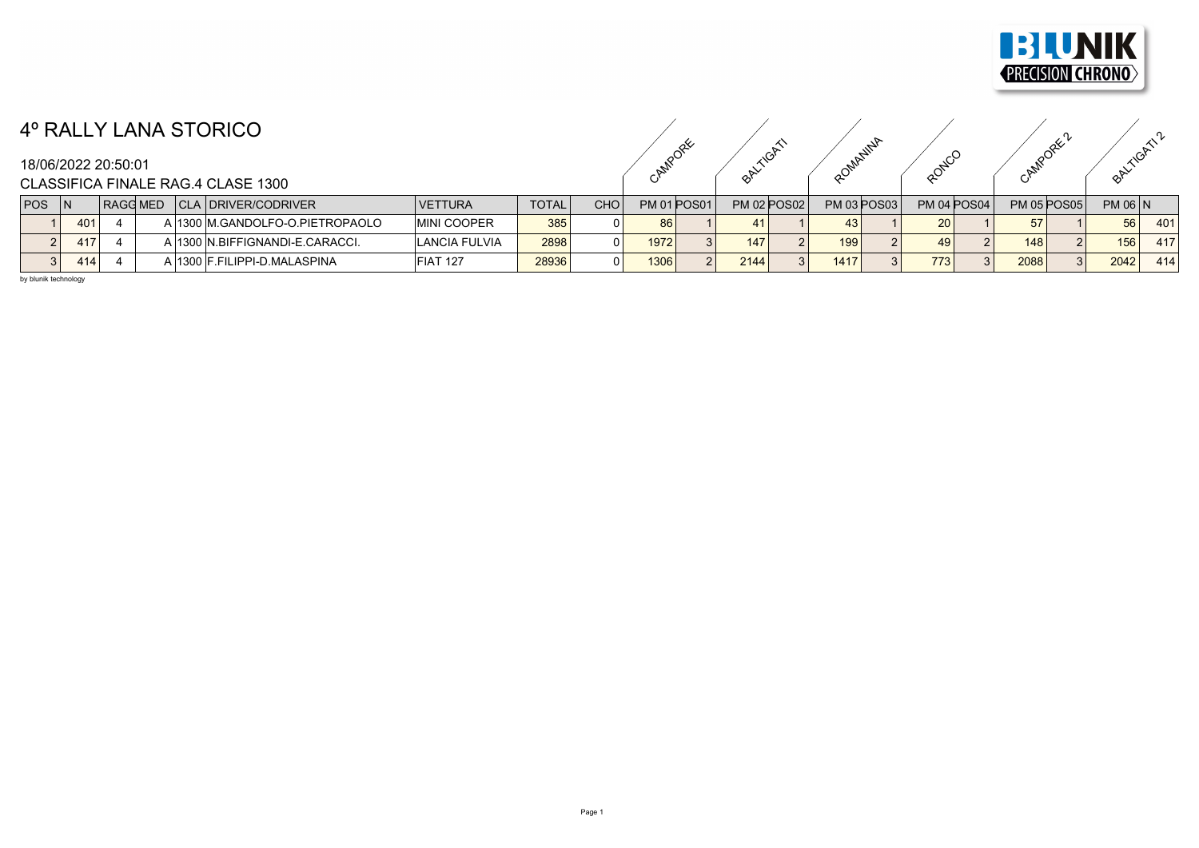

## 4º RALLY LANA STORICO

CAMPORE ORITION ROMANINA ROTECO CAMPORE PORTICATIL

CAMPORE 2 BALTICATI2

CLASSIFICA FINALE RAG.4 CLASE 1300

| <b>POS</b> |     | RAGG MED |  | CLA   DRIVER/CODRIVER            | <b>VETTURA</b>     | <b>TOTAL</b> | <b>CHO</b> |      | <b>PM 01 POS01</b> | <b>PM 02 POS02</b> | <b>PM 03 POS03</b> | <b>PM 04 POS04</b> |      | <b>PM 05 POS05</b> | <b>PM 06 N</b> |     |
|------------|-----|----------|--|----------------------------------|--------------------|--------------|------------|------|--------------------|--------------------|--------------------|--------------------|------|--------------------|----------------|-----|
|            | 401 |          |  | A 1300 M.GANDOLFO-O.PIETROPAOLO  | <b>MINI COOPER</b> | 385          |            | 86   |                    |                    |                    | 20 <sup>1</sup>    | 57   |                    | 56             | 401 |
|            | 417 |          |  | A 1300 IN.BIFFIGNANDI-E.CARACCI. | LANCIA FULVIA      | 2898         |            | 1972 |                    | 147                | 199                | 49                 | 148  |                    | 156            | 417 |
|            | 414 |          |  | A 1300 F FILIPPI-D MALASPINA     | <b>FIAT 127</b>    | 28936        |            | 1306 |                    | 2144               | 1417               | 773                | 2088 |                    | 2042           | 414 |

by blunik technology

18/06/2022 20:50:01